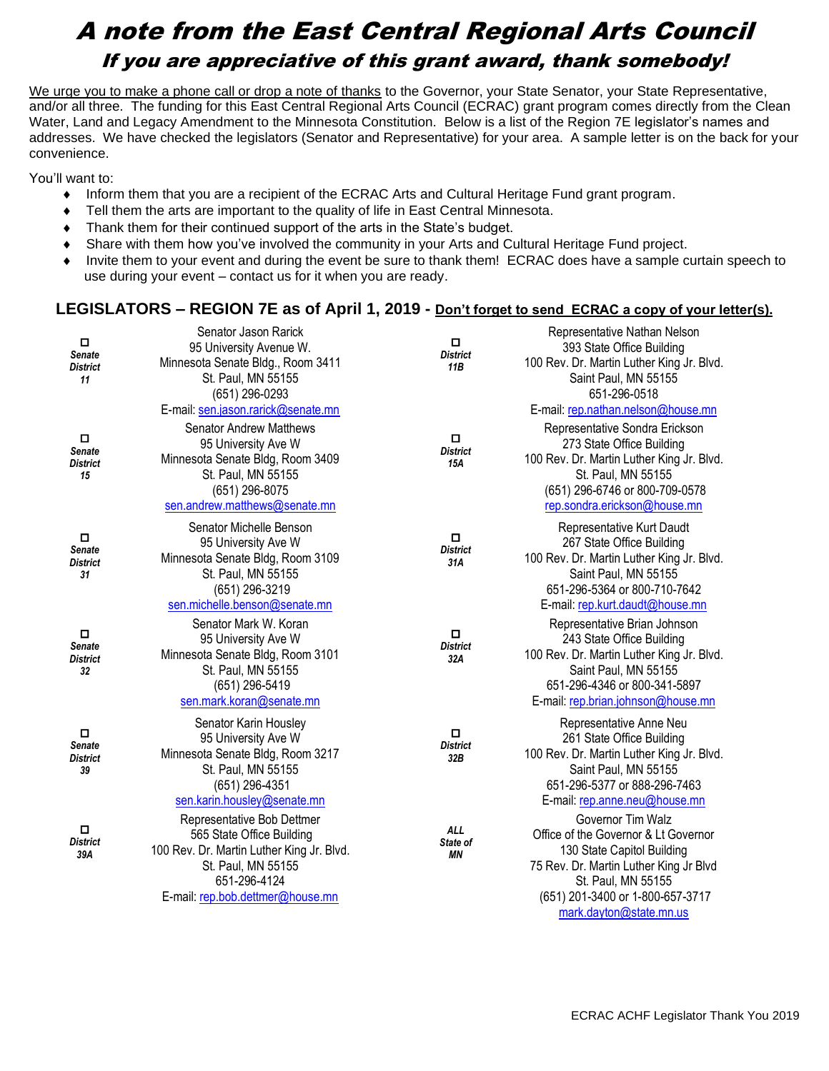## A note from the East Central Regional Arts Council If you are appreciative of this grant award, thank somebody!

We urge you to make a phone call or drop a note of thanks to the Governor, your State Senator, your State Representative, and/or all three. The funding for this East Central Regional Arts Council (ECRAC) grant program comes directly from the Clean Water, Land and Legacy Amendment to the Minnesota Constitution. Below is a list of the Region 7E legislator's names and addresses. We have checked the legislators (Senator and Representative) for your area. A sample letter is on the back for your convenience.

You'll want to:

- Inform them that you are a recipient of the ECRAC Arts and Cultural Heritage Fund grant program.
- Tell them the arts are important to the quality of life in East Central Minnesota.
- Thank them for their continued support of the arts in the State's budget.
- Share with them how you've involved the community in your Arts and Cultural Heritage Fund project.
- Invite them to your event and during the event be sure to thank them! ECRAC does have a sample curtain speech to use during your event – contact us for it when you are ready.

## **LEGISLATORS – REGION 7E as of April 1, 2019 - Don't forget to send ECRAC a copy of your letter(s).**

| $\Box$<br><b>Senate</b><br><b>District</b><br>11 | Senator Jason Rarick<br>95 University Avenue W.<br>Minnesota Senate Bldg., Room 3411<br>St. Paul, MN 55155<br>(651) 296-0293                                                                             | $\Box$<br><b>District</b><br>11B | Representative Nathan Nelson<br>393 State Office Building<br>100 Rev. Dr. Martin Luther King Jr. Blvd.<br>Saint Paul, MN 55155<br>651-296-0518                                                                                         |
|--------------------------------------------------|----------------------------------------------------------------------------------------------------------------------------------------------------------------------------------------------------------|----------------------------------|----------------------------------------------------------------------------------------------------------------------------------------------------------------------------------------------------------------------------------------|
| $\Box$<br><b>Senate</b><br><b>District</b><br>15 | E-mail: sen.jason.rarick@senate.mn<br><b>Senator Andrew Matthews</b><br>95 University Ave W<br>Minnesota Senate Bldg, Room 3409<br>St. Paul, MN 55155<br>(651) 296-8075<br>sen.andrew.matthews@senate.mn | $\Box$<br><b>District</b><br>15A | E-mail: rep.nathan.nelson@house.mn<br>Representative Sondra Erickson<br>273 State Office Building<br>100 Rev. Dr. Martin Luther King Jr. Blvd.<br>St. Paul, MN 55155<br>(651) 296-6746 or 800-709-0578<br>rep.sondra.erickson@house.mn |
| $\Box$<br><b>Senate</b><br>District<br>31        | Senator Michelle Benson<br>95 University Ave W<br>Minnesota Senate Bldg, Room 3109<br>St. Paul, MN 55155<br>(651) 296-3219<br>sen.michelle.benson@senate.mn                                              | $\Box$<br><b>District</b><br>31A | Representative Kurt Daudt<br>267 State Office Building<br>100 Rev. Dr. Martin Luther King Jr. Blvd.<br>Saint Paul, MN 55155<br>651-296-5364 or 800-710-7642<br>E-mail: rep.kurt.daudt@house.mn                                         |
| $\Box$<br><b>Senate</b><br><b>District</b><br>32 | Senator Mark W. Koran<br>95 University Ave W<br>Minnesota Senate Bldg, Room 3101<br>St. Paul, MN 55155<br>(651) 296-5419<br>sen.mark.koran@senate.mn                                                     | $\Box$<br><b>District</b><br>32A | Representative Brian Johnson<br>243 State Office Building<br>100 Rev. Dr. Martin Luther King Jr. Blvd.<br>Saint Paul, MN 55155<br>651-296-4346 or 800-341-5897<br>E-mail: rep.brian.johnson@house.mn                                   |
| $\Box$<br><b>Senate</b><br><b>District</b><br>39 | Senator Karin Housley<br>95 University Ave W<br>Minnesota Senate Bldg, Room 3217<br>St. Paul, MN 55155<br>(651) 296-4351<br>sen.karin.housley@senate.mn                                                  | о<br><b>District</b><br>32B      | Representative Anne Neu<br>261 State Office Building<br>100 Rev. Dr. Martin Luther King Jr. Blvd.<br>Saint Paul, MN 55155<br>651-296-5377 or 888-296-7463<br>E-mail: rep.anne.neu@house.mn                                             |
| $\Box$<br><b>District</b><br>39A                 | Representative Bob Dettmer<br>565 State Office Building<br>100 Rev. Dr. Martin Luther King Jr. Blvd.<br>St. Paul, MN 55155<br>651-296-4124<br>E-mail: rep.bob.dettmer@house.mn                           | <b>ALL</b><br>State of<br>ΜN     | Governor Tim Walz<br>Office of the Governor & Lt Governor<br>130 State Capitol Building<br>75 Rev. Dr. Martin Luther King Jr Blvd<br>St. Paul, MN 55155<br>(651) 201-3400 or 1-800-657-3717<br>mark.dayton@state.mn.us                 |